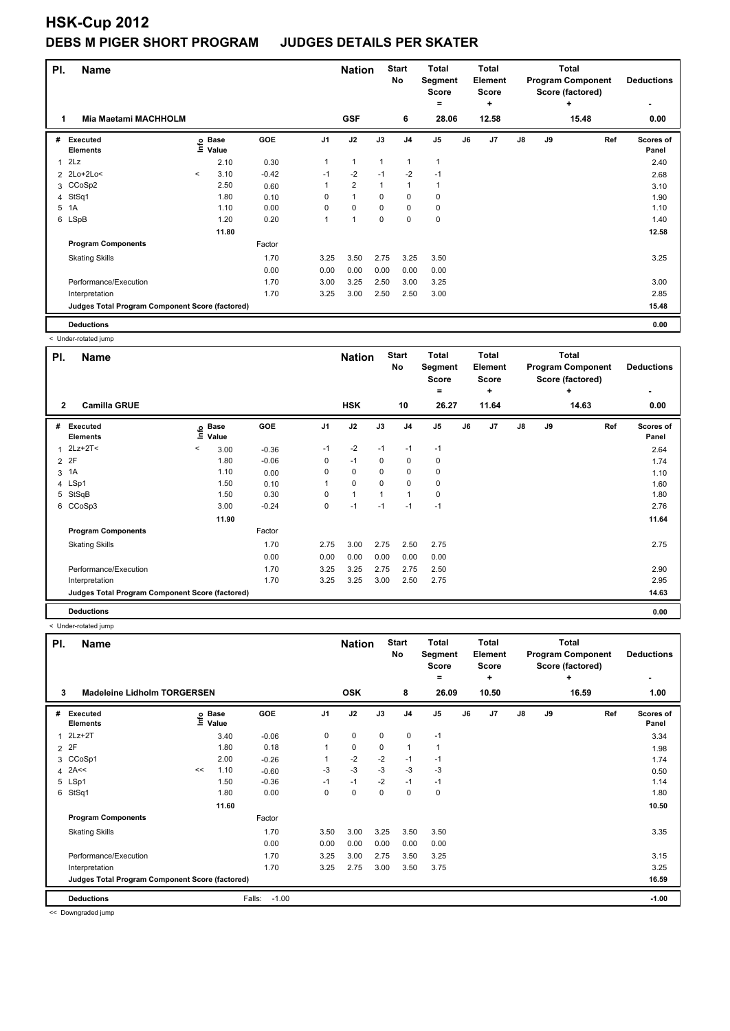| PI.            | <b>Name</b>                                     |         |                      | <b>Nation</b> |                | <b>Start</b><br>No | <b>Total</b><br>Segment<br><b>Score</b> |                | <b>Total</b><br>Element<br><b>Score</b> |    | <b>Total</b><br><b>Program Component</b><br>Score (factored) | <b>Deductions</b><br>٠ |    |            |                    |
|----------------|-------------------------------------------------|---------|----------------------|---------------|----------------|--------------------|-----------------------------------------|----------------|-----------------------------------------|----|--------------------------------------------------------------|------------------------|----|------------|--------------------|
| 1              | <b>Mia Maetami MACHHOLM</b>                     |         |                      |               |                | <b>GSF</b>         |                                         | 6              | =<br>28.06                              |    | ٠<br>12.58                                                   |                        |    | ٠<br>15.48 | 0.00               |
| #              | Executed<br><b>Elements</b>                     | Info    | <b>Base</b><br>Value | GOE           | J <sub>1</sub> | J2                 | J3                                      | J <sub>4</sub> | J <sub>5</sub>                          | J6 | J <sub>7</sub>                                               | $\mathsf{J}8$          | J9 | Ref        | Scores of<br>Panel |
| 1              | 2Lz                                             |         | 2.10                 | 0.30          | 1              | $\mathbf{1}$       | 1                                       | $\mathbf 1$    | 1                                       |    |                                                              |                        |    |            | 2.40               |
| $\overline{2}$ | 2Lo+2Lo<                                        | $\,<\,$ | 3.10                 | $-0.42$       | $-1$           | $-2$               | $-1$                                    | $-2$           | $-1$                                    |    |                                                              |                        |    |            | 2.68               |
|                | 3 CCoSp2                                        |         | 2.50                 | 0.60          | 1              | $\overline{2}$     | 1                                       | $\mathbf{1}$   |                                         |    |                                                              |                        |    |            | 3.10               |
|                | 4 StSq1                                         |         | 1.80                 | 0.10          | $\Omega$       | $\mathbf{1}$       | $\Omega$                                | 0              | 0                                       |    |                                                              |                        |    |            | 1.90               |
| 5              | 1A                                              |         | 1.10                 | 0.00          | $\Omega$       | $\mathbf 0$        | $\Omega$                                | $\mathbf 0$    | 0                                       |    |                                                              |                        |    |            | 1.10               |
|                | 6 LSpB                                          |         | 1.20                 | 0.20          | 1              | 1                  | 0                                       | $\mathbf 0$    | 0                                       |    |                                                              |                        |    |            | 1.40               |
|                |                                                 |         | 11.80                |               |                |                    |                                         |                |                                         |    |                                                              |                        |    |            | 12.58              |
|                | <b>Program Components</b>                       |         |                      | Factor        |                |                    |                                         |                |                                         |    |                                                              |                        |    |            |                    |
|                | <b>Skating Skills</b>                           |         |                      | 1.70          | 3.25           | 3.50               | 2.75                                    | 3.25           | 3.50                                    |    |                                                              |                        |    |            | 3.25               |
|                |                                                 |         |                      | 0.00          | 0.00           | 0.00               | 0.00                                    | 0.00           | 0.00                                    |    |                                                              |                        |    |            |                    |
|                | Performance/Execution                           |         |                      | 1.70          | 3.00           | 3.25               | 2.50                                    | 3.00           | 3.25                                    |    |                                                              |                        |    |            | 3.00               |
|                | Interpretation                                  |         |                      | 1.70          | 3.25           | 3.00               | 2.50                                    | 2.50           | 3.00                                    |    |                                                              |                        |    |            | 2.85               |
|                | Judges Total Program Component Score (factored) |         |                      |               |                |                    |                                         |                |                                         |    |                                                              |                        |    |            | 15.48              |
|                | <b>Deductions</b>                               |         |                      |               |                |                    |                                         |                |                                         |    |                                                              |                        |    |            | 0.00               |

< Under-rotated jump

| PI.            | Name                                            |         |                      |            |                | <b>Nation</b> |             | <b>Start</b><br>No | <b>Total</b><br>Segment<br><b>Score</b><br>۰ |    | Total<br><b>Element</b><br>Score<br>÷ |               |    | <b>Total</b><br><b>Program Component</b><br>Score (factored)<br>÷ | <b>Deductions</b><br>٠ |
|----------------|-------------------------------------------------|---------|----------------------|------------|----------------|---------------|-------------|--------------------|----------------------------------------------|----|---------------------------------------|---------------|----|-------------------------------------------------------------------|------------------------|
| $\overline{2}$ | <b>Camilla GRUE</b>                             |         |                      |            |                | <b>HSK</b>    |             | 10                 | 26.27                                        |    | 11.64                                 |               |    | 14.63                                                             | 0.00                   |
| #              | Executed<br><b>Elements</b>                     | Info    | <b>Base</b><br>Value | <b>GOE</b> | J <sub>1</sub> | J2            | J3          | J <sub>4</sub>     | J <sub>5</sub>                               | J6 | J7                                    | $\mathsf{J}8$ | J9 | Ref                                                               | Scores of<br>Panel     |
| 1              | $2Lz+2T2$                                       | $\prec$ | 3.00                 | $-0.36$    | $-1$           | $-2$          | $-1$        | $-1$               | $-1$                                         |    |                                       |               |    |                                                                   | 2.64                   |
| 2              | 2F                                              |         | 1.80                 | $-0.06$    | 0              | $-1$          | $\mathbf 0$ | $\mathbf 0$        | 0                                            |    |                                       |               |    |                                                                   | 1.74                   |
| 3              | 1A                                              |         | 1.10                 | 0.00       | $\Omega$       | $\mathbf 0$   | $\Omega$    | $\mathbf 0$        | $\mathbf 0$                                  |    |                                       |               |    |                                                                   | 1.10                   |
|                | 4 LSp1                                          |         | 1.50                 | 0.10       |                | $\pmb{0}$     | 0           | $\mathbf 0$        | 0                                            |    |                                       |               |    |                                                                   | 1.60                   |
| 5              | StSqB                                           |         | 1.50                 | 0.30       | 0              | $\mathbf{1}$  |             | $\mathbf{1}$       | 0                                            |    |                                       |               |    |                                                                   | 1.80                   |
|                | 6 CCoSp3                                        |         | 3.00                 | $-0.24$    | 0              | $-1$          | $-1$        | $-1$               | $-1$                                         |    |                                       |               |    |                                                                   | 2.76                   |
|                |                                                 |         | 11.90                |            |                |               |             |                    |                                              |    |                                       |               |    |                                                                   | 11.64                  |
|                | <b>Program Components</b>                       |         |                      | Factor     |                |               |             |                    |                                              |    |                                       |               |    |                                                                   |                        |
|                | <b>Skating Skills</b>                           |         |                      | 1.70       | 2.75           | 3.00          | 2.75        | 2.50               | 2.75                                         |    |                                       |               |    |                                                                   | 2.75                   |
|                |                                                 |         |                      | 0.00       | 0.00           | 0.00          | 0.00        | 0.00               | 0.00                                         |    |                                       |               |    |                                                                   |                        |
|                | Performance/Execution                           |         |                      | 1.70       | 3.25           | 3.25          | 2.75        | 2.75               | 2.50                                         |    |                                       |               |    |                                                                   | 2.90                   |
|                | Interpretation                                  |         |                      | 1.70       | 3.25           | 3.25          | 3.00        | 2.50               | 2.75                                         |    |                                       |               |    |                                                                   | 2.95                   |
|                | Judges Total Program Component Score (factored) |         |                      |            |                |               |             |                    |                                              |    |                                       |               |    |                                                                   | 14.63                  |
|                | <b>Deductions</b>                               |         |                      |            |                |               |             |                    |                                              |    |                                       |               |    |                                                                   | 0.00                   |

< Under-rotated jump

| PI. | <b>Name</b>                                     |                    |            | <b>Nation</b>     |                | <b>Start</b><br><b>Total</b><br>No<br>Segment<br><b>Score</b><br>$=$ |      |                | <b>Total</b><br>Element<br><b>Score</b><br>٠ | <b>Total</b><br><b>Program Component</b><br>Score (factored)<br>٠ |       |               | <b>Deductions</b><br>$\overline{\phantom{0}}$ |     |                    |
|-----|-------------------------------------------------|--------------------|------------|-------------------|----------------|----------------------------------------------------------------------|------|----------------|----------------------------------------------|-------------------------------------------------------------------|-------|---------------|-----------------------------------------------|-----|--------------------|
| 3   | <b>Madeleine Lidholm TORGERSEN</b>              |                    | <b>OSK</b> |                   | 8              | 26.09                                                                |      | 10.50          |                                              |                                                                   | 16.59 | 1.00          |                                               |     |                    |
| #   | Executed<br><b>Elements</b>                     | $\frac{6}{5}$ Base | Value      | GOE               | J <sub>1</sub> | J2                                                                   | J3   | J <sub>4</sub> | J <sub>5</sub>                               | J6                                                                | J7    | $\mathsf{J}8$ | J9                                            | Ref | Scores of<br>Panel |
| 1   | $2Lz+2T$                                        |                    | 3.40       | $-0.06$           | 0              | $\mathbf 0$                                                          | 0    | 0              | $-1$                                         |                                                                   |       |               |                                               |     | 3.34               |
|     | 2 2F                                            |                    | 1.80       | 0.18              |                | 0                                                                    | 0    | 1              | 1                                            |                                                                   |       |               |                                               |     | 1.98               |
| 3   | CCoSp1                                          |                    | 2.00       | $-0.26$           |                | $-2$                                                                 | $-2$ | $-1$           | $-1$                                         |                                                                   |       |               |                                               |     | 1.74               |
|     | 4 $2A <<$                                       | <<                 | 1.10       | $-0.60$           | $-3$           | $-3$                                                                 | $-3$ | $-3$           | $-3$                                         |                                                                   |       |               |                                               |     | 0.50               |
|     | 5 LSp1                                          |                    | 1.50       | $-0.36$           | $-1$           | $-1$                                                                 | $-2$ | $-1$           | $-1$                                         |                                                                   |       |               |                                               |     | 1.14               |
| 6   | StSq1                                           |                    | 1.80       | 0.00              | 0              | 0                                                                    | 0    | 0              | 0                                            |                                                                   |       |               |                                               |     | 1.80               |
|     |                                                 |                    | 11.60      |                   |                |                                                                      |      |                |                                              |                                                                   |       |               |                                               |     | 10.50              |
|     | <b>Program Components</b>                       |                    |            | Factor            |                |                                                                      |      |                |                                              |                                                                   |       |               |                                               |     |                    |
|     | <b>Skating Skills</b>                           |                    |            | 1.70              | 3.50           | 3.00                                                                 | 3.25 | 3.50           | 3.50                                         |                                                                   |       |               |                                               |     | 3.35               |
|     |                                                 |                    |            | 0.00              | 0.00           | 0.00                                                                 | 0.00 | 0.00           | 0.00                                         |                                                                   |       |               |                                               |     |                    |
|     | Performance/Execution                           |                    |            | 1.70              | 3.25           | 3.00                                                                 | 2.75 | 3.50           | 3.25                                         |                                                                   |       |               |                                               |     | 3.15               |
|     | Interpretation                                  |                    |            | 1.70              | 3.25           | 2.75                                                                 | 3.00 | 3.50           | 3.75                                         |                                                                   |       |               |                                               |     | 3.25               |
|     | Judges Total Program Component Score (factored) |                    |            |                   |                |                                                                      |      |                |                                              |                                                                   |       |               |                                               |     | 16.59              |
|     | <b>Deductions</b>                               |                    |            | Falls:<br>$-1.00$ |                |                                                                      |      |                |                                              |                                                                   |       |               |                                               |     | $-1.00$            |

<< Downgraded jump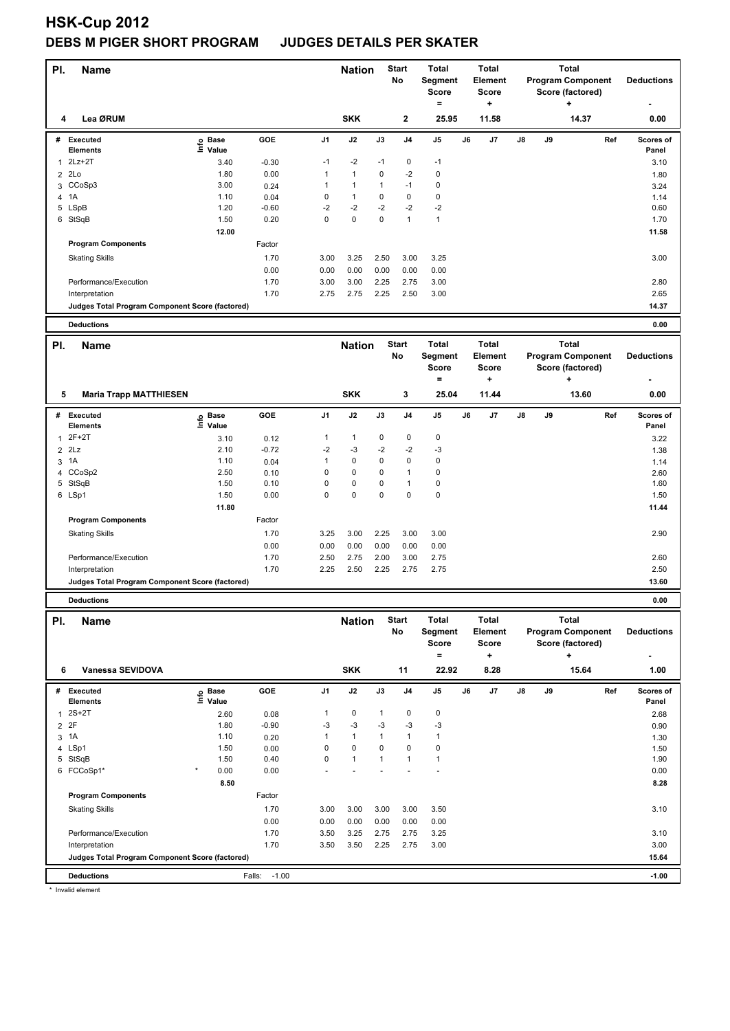| PI.            | <b>Name</b>                                     |                                 |                 |                | <b>Nation</b>        |              | <b>Start</b><br>No   | <b>Total</b>             |    | <b>Total</b><br><b>Element</b> |    |    | <b>Total</b><br><b>Program Component</b> |     | <b>Deductions</b> |
|----------------|-------------------------------------------------|---------------------------------|-----------------|----------------|----------------------|--------------|----------------------|--------------------------|----|--------------------------------|----|----|------------------------------------------|-----|-------------------|
|                |                                                 |                                 |                 |                |                      |              |                      | Segment<br><b>Score</b>  |    | <b>Score</b>                   |    |    | Score (factored)                         |     |                   |
|                |                                                 |                                 |                 |                |                      |              |                      | $\equiv$                 |    | ٠                              |    |    | ÷                                        |     |                   |
| 4              | Lea ØRUM                                        |                                 |                 |                | <b>SKK</b>           |              | $\mathbf{2}$         | 25.95                    |    | 11.58                          |    |    | 14.37                                    |     | 0.00              |
| #              | Executed                                        | e Base<br>⊆ Value               | GOE             | J <sub>1</sub> | J2                   | J3           | J4                   | J5                       | J6 | J7                             | J8 | J9 |                                          | Ref | Scores of         |
|                | Elements                                        |                                 |                 |                |                      |              |                      |                          |    |                                |    |    |                                          |     | Panel             |
| $\mathbf{1}$   | $2Lz+2T$                                        | 3.40                            | $-0.30$         | $-1$           | $-2$                 | $-1$         | 0                    | $-1$                     |    |                                |    |    |                                          |     | 3.10              |
| $\overline{2}$ | 2Lo                                             | 1.80                            | 0.00            | 1              | $\mathbf{1}$         | 0            | $-2$                 | 0                        |    |                                |    |    |                                          |     | 1.80              |
|                | 3 CCoSp3                                        | 3.00                            | 0.24            | 1              | 1                    | $\mathbf{1}$ | $-1$                 | $\mathbf 0$              |    |                                |    |    |                                          |     | 3.24              |
| 4              | 1A<br>5 LSpB                                    | 1.10<br>1.20                    | 0.04<br>$-0.60$ | 0<br>$-2$      | $\mathbf{1}$<br>$-2$ | 0<br>$-2$    | 0<br>$-2$            | $\mathbf 0$<br>$-2$      |    |                                |    |    |                                          |     | 1.14<br>0.60      |
|                | 6 StSqB                                         | 1.50                            | 0.20            | 0              | 0                    | $\Omega$     | $\mathbf{1}$         | $\mathbf{1}$             |    |                                |    |    |                                          |     | 1.70              |
|                |                                                 | 12.00                           |                 |                |                      |              |                      |                          |    |                                |    |    |                                          |     | 11.58             |
|                | <b>Program Components</b>                       |                                 | Factor          |                |                      |              |                      |                          |    |                                |    |    |                                          |     |                   |
|                | <b>Skating Skills</b>                           |                                 | 1.70            | 3.00           | 3.25                 | 2.50         | 3.00                 | 3.25                     |    |                                |    |    |                                          |     | 3.00              |
|                |                                                 |                                 | 0.00            | 0.00           | 0.00                 | 0.00         | 0.00                 | 0.00                     |    |                                |    |    |                                          |     |                   |
|                | Performance/Execution                           |                                 | 1.70            | 3.00           | 3.00                 | 2.25         | 2.75                 | 3.00                     |    |                                |    |    |                                          |     | 2.80              |
|                | Interpretation                                  |                                 | 1.70            | 2.75           | 2.75                 | 2.25         | 2.50                 | 3.00                     |    |                                |    |    |                                          |     | 2.65              |
|                | Judges Total Program Component Score (factored) |                                 |                 |                |                      |              |                      |                          |    |                                |    |    |                                          |     | 14.37             |
|                |                                                 |                                 |                 |                |                      |              |                      |                          |    |                                |    |    |                                          |     |                   |
|                | <b>Deductions</b>                               |                                 |                 |                |                      |              |                      |                          |    |                                |    |    |                                          |     | 0.00              |
| PI.            | <b>Name</b>                                     |                                 |                 |                | <b>Nation</b>        |              | <b>Start</b>         | <b>Total</b>             |    | <b>Total</b>                   |    |    | <b>Total</b>                             |     |                   |
|                |                                                 |                                 |                 |                |                      |              | No                   | Segment                  |    | <b>Element</b>                 |    |    | <b>Program Component</b>                 |     | <b>Deductions</b> |
|                |                                                 |                                 |                 |                |                      |              |                      | <b>Score</b>             |    | <b>Score</b>                   |    |    | Score (factored)                         |     |                   |
|                |                                                 |                                 |                 |                |                      |              |                      | $=$                      |    | ٠                              |    |    | $\ddot{}$                                |     |                   |
| 5              | <b>Maria Trapp MATTHIESEN</b>                   |                                 |                 |                | <b>SKK</b>           |              | 3                    | 25.04                    |    | 11.44                          |    |    | 13.60                                    |     | 0.00              |
| #              | Executed                                        |                                 | GOE             | J <sub>1</sub> | J2                   | J3           | J <sub>4</sub>       | $\mathsf{J}5$            | J6 | J7                             | J8 | J9 |                                          | Ref | Scores of         |
|                | Elements                                        | $\overset{\circ}{\equiv}$ Value |                 |                |                      |              |                      |                          |    |                                |    |    |                                          |     | Panel             |
| $\mathbf{1}$   | $2F+2T$                                         | 3.10                            | 0.12            | 1              | $\mathbf{1}$         | 0            | 0                    | 0                        |    |                                |    |    |                                          |     | 3.22              |
| $\overline{2}$ | 2Lz                                             | 2.10                            | $-0.72$         | -2             | $-3$                 | $-2$         | $-2$                 | -3                       |    |                                |    |    |                                          |     | 1.38              |
| 3              | 1A                                              | 1.10                            | 0.04            | 1              | 0                    | 0            | 0                    | $\mathbf 0$              |    |                                |    |    |                                          |     | 1.14              |
|                | 4 CCoSp2                                        | 2.50                            | 0.10            | 0              | 0                    | 0            | 1                    | $\mathbf 0$              |    |                                |    |    |                                          |     | 2.60              |
| 5              | StSqB                                           | 1.50<br>1.50                    | 0.10            | 0<br>0         | 0<br>0               | 0<br>0       | 1<br>0               | $\mathbf 0$<br>$\pmb{0}$ |    |                                |    |    |                                          |     | 1.60              |
|                | 6 LSp1                                          | 11.80                           | 0.00            |                |                      |              |                      |                          |    |                                |    |    |                                          |     | 1.50<br>11.44     |
|                | <b>Program Components</b>                       |                                 | Factor          |                |                      |              |                      |                          |    |                                |    |    |                                          |     |                   |
|                |                                                 |                                 |                 | 3.25           |                      | 2.25         |                      |                          |    |                                |    |    |                                          |     | 2.90              |
|                | <b>Skating Skills</b>                           |                                 | 1.70<br>0.00    | 0.00           | 3.00<br>0.00         | 0.00         | 3.00<br>0.00         | 3.00                     |    |                                |    |    |                                          |     |                   |
|                | Performance/Execution                           |                                 | 1.70            | 2.50           | 2.75                 | 2.00         | 3.00                 | 0.00<br>2.75             |    |                                |    |    |                                          |     | 2.60              |
|                | Interpretation                                  |                                 | 1.70            | 2.25           | 2.50                 | 2.25         | 2.75                 | 2.75                     |    |                                |    |    |                                          |     | 2.50              |
|                | Judges Total Program Component Score (factored) |                                 |                 |                |                      |              |                      |                          |    |                                |    |    |                                          |     | 13.60             |
|                |                                                 |                                 |                 |                |                      |              |                      |                          |    |                                |    |    |                                          |     |                   |
|                | <b>Deductions</b>                               |                                 |                 |                |                      |              |                      |                          |    |                                |    |    |                                          |     | 0.00              |
| PI.            | <b>Name</b>                                     |                                 |                 |                | <b>Nation</b>        |              | <b>Start</b>         | Total                    |    | <b>Total</b>                   |    |    | <b>Total</b>                             |     |                   |
|                |                                                 |                                 |                 |                |                      |              | No                   | Segment                  |    | Element                        |    |    | <b>Program Component</b>                 |     | <b>Deductions</b> |
|                |                                                 |                                 |                 |                |                      |              |                      | Score                    |    | <b>Score</b>                   |    |    | Score (factored)                         |     |                   |
|                |                                                 |                                 |                 |                |                      |              |                      | $=$                      |    | ٠.                             |    |    | ÷                                        |     |                   |
| 6              | Vanessa SEVIDOVA                                |                                 |                 |                | <b>SKK</b>           |              | 11                   | 22.92                    |    | 8.28                           |    |    | 15.64                                    |     | 1.00              |
|                | # Executed                                      | e Base<br>⊑ Value               | GOE             | J1             | J2                   | J3           | J <sub>4</sub>       | J5                       | J6 | J7                             | J8 | J9 |                                          | Ref | Scores of         |
|                | Elements                                        |                                 |                 |                |                      |              |                      |                          |    |                                |    |    |                                          |     | Panel             |
|                | $1$ 2S+2T                                       | 2.60                            | 0.08            | 1              | 0                    | $\mathbf{1}$ | 0                    | $\pmb{0}$                |    |                                |    |    |                                          |     | 2.68              |
| $\overline{2}$ | 2F                                              | 1.80                            | $-0.90$         | $-3$           | $-3$<br>$\mathbf{1}$ | $-3$         | $-3$<br>$\mathbf{1}$ | $-3$<br>$\mathbf{1}$     |    |                                |    |    |                                          |     | 0.90              |
|                | 3 1A<br>4 LSp1                                  | 1.10<br>1.50                    | 0.20            | 1<br>0         | 0                    | 1<br>0       | 0                    | $\mathbf 0$              |    |                                |    |    |                                          |     | 1.30              |
|                | 5 StSqB                                         | 1.50                            | 0.00<br>0.40    | 0              | $\mathbf{1}$         | 1            | $\mathbf{1}$         | $\mathbf{1}$             |    |                                |    |    |                                          |     | 1.50<br>1.90      |
|                | 6 FCCoSp1*                                      | 0.00                            | 0.00            |                |                      |              |                      |                          |    |                                |    |    |                                          |     | 0.00              |
|                |                                                 | 8.50                            |                 |                |                      |              |                      |                          |    |                                |    |    |                                          |     | 8.28              |
|                | <b>Program Components</b>                       |                                 | Factor          |                |                      |              |                      |                          |    |                                |    |    |                                          |     |                   |
|                | <b>Skating Skills</b>                           |                                 | 1.70            | 3.00           | 3.00                 | 3.00         | 3.00                 | 3.50                     |    |                                |    |    |                                          |     | 3.10              |
|                |                                                 |                                 | 0.00            | 0.00           | 0.00                 | 0.00         | 0.00                 | 0.00                     |    |                                |    |    |                                          |     |                   |
|                | Performance/Execution                           |                                 | 1.70            | 3.50           | 3.25                 | 2.75         | 2.75                 | 3.25                     |    |                                |    |    |                                          |     | 3.10              |
|                | Interpretation                                  |                                 | 1.70            | 3.50           | 3.50                 | 2.25         | 2.75                 | 3.00                     |    |                                |    |    |                                          |     | 3.00              |
|                | Judges Total Program Component Score (factored) |                                 |                 |                |                      |              |                      |                          |    |                                |    |    |                                          |     | 15.64             |

**Deductions** Falls: -1.00 **-1.00**

\* Invalid element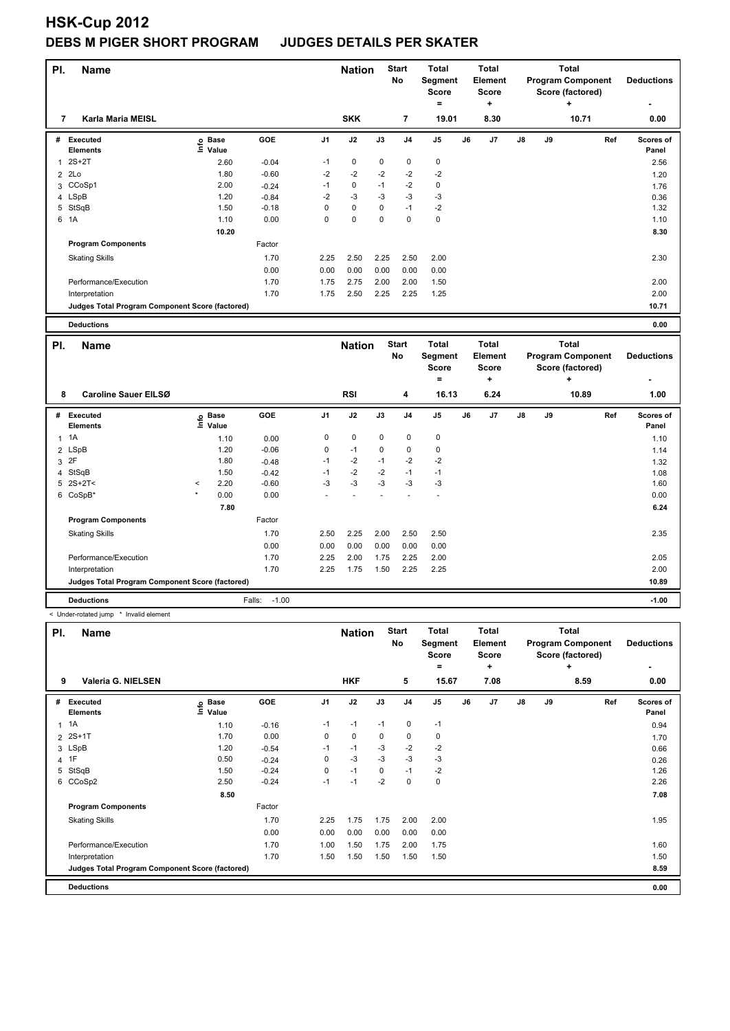| PI.            | <b>Name</b>                                     |                            |         |                | <b>Nation</b> |             | <b>Start</b><br>No | <b>Total</b><br>Segment<br><b>Score</b><br>$\equiv$ |    | <b>Total</b><br>Element<br><b>Score</b><br>÷ | <b>Total</b><br><b>Program Component</b><br>Score (factored)<br>÷ |    |                                                              | <b>Deductions</b> |                    |
|----------------|-------------------------------------------------|----------------------------|---------|----------------|---------------|-------------|--------------------|-----------------------------------------------------|----|----------------------------------------------|-------------------------------------------------------------------|----|--------------------------------------------------------------|-------------------|--------------------|
| 7              | <b>Karla Maria MEISL</b>                        |                            |         |                | <b>SKK</b>    |             | 7                  | 19.01                                               |    | 8.30                                         |                                                                   |    | 10.71                                                        |                   | 0.00               |
| #              | Executed<br>Elements                            | e Base<br>⊑ Value          | GOE     | J <sub>1</sub> | J2            | J3          | J <sub>4</sub>     | J5                                                  | J6 | J7                                           | J8                                                                | J9 |                                                              | Ref               | Scores of<br>Panel |
| 1              | $2S+2T$                                         | 2.60                       | $-0.04$ | $-1$           | $\mathbf 0$   | $\mathbf 0$ | $\pmb{0}$          | $\pmb{0}$                                           |    |                                              |                                                                   |    |                                                              |                   | 2.56               |
| $\overline{2}$ | 2Lo                                             | 1.80                       | $-0.60$ | $-2$           | $-2$          | $-2$        | $-2$               | $-2$                                                |    |                                              |                                                                   |    |                                                              |                   | 1.20               |
|                | 3 CCoSp1                                        | 2.00                       | $-0.24$ | $-1$           | 0             | $-1$        | $-2$               | $\pmb{0}$                                           |    |                                              |                                                                   |    |                                                              |                   | 1.76               |
|                | 4 LSpB                                          | 1.20                       | $-0.84$ | $-2$           | $-3$          | $-3$        | $-3$               | $-3$                                                |    |                                              |                                                                   |    |                                                              |                   | 0.36               |
|                | 5 StSqB                                         | 1.50                       | $-0.18$ | 0              | $\mathbf 0$   | 0           | $-1$               | $-2$                                                |    |                                              |                                                                   |    |                                                              |                   | 1.32               |
|                | 6 1A                                            | 1.10                       | 0.00    | 0              | 0             | $\Omega$    | $\mathbf 0$        | $\pmb{0}$                                           |    |                                              |                                                                   |    |                                                              |                   | 1.10               |
|                |                                                 | 10.20                      |         |                |               |             |                    |                                                     |    |                                              |                                                                   |    |                                                              |                   | 8.30               |
|                | <b>Program Components</b>                       |                            | Factor  |                |               |             |                    |                                                     |    |                                              |                                                                   |    |                                                              |                   |                    |
|                | <b>Skating Skills</b>                           |                            | 1.70    | 2.25           | 2.50          | 2.25        | 2.50               | 2.00                                                |    |                                              |                                                                   |    |                                                              |                   | 2.30               |
|                |                                                 |                            | 0.00    | 0.00           | 0.00          | 0.00        | 0.00               | 0.00                                                |    |                                              |                                                                   |    |                                                              |                   |                    |
|                | Performance/Execution                           |                            | 1.70    | 1.75           | 2.75          | 2.00        | 2.00               | 1.50                                                |    |                                              |                                                                   |    |                                                              |                   | 2.00               |
|                | Interpretation                                  |                            | 1.70    | 1.75           | 2.50          | 2.25        | 2.25               | 1.25                                                |    |                                              |                                                                   |    |                                                              |                   | 2.00               |
|                | Judges Total Program Component Score (factored) |                            |         |                |               |             |                    |                                                     |    |                                              |                                                                   |    |                                                              |                   | 10.71              |
|                |                                                 |                            |         |                |               |             |                    |                                                     |    |                                              |                                                                   |    |                                                              |                   |                    |
|                | <b>Deductions</b>                               |                            |         |                |               |             |                    |                                                     |    |                                              |                                                                   |    |                                                              |                   | 0.00               |
| PI.            | <b>Name</b>                                     |                            |         |                | <b>Nation</b> |             | <b>Start</b><br>No | <b>Total</b><br><b>Segment</b><br><b>Score</b>      |    | <b>Total</b><br>Element<br><b>Score</b>      |                                                                   |    | <b>Total</b><br><b>Program Component</b><br>Score (factored) |                   | <b>Deductions</b>  |
|                |                                                 |                            |         |                |               |             |                    | $=$                                                 |    | ÷                                            |                                                                   |    | ÷                                                            |                   |                    |
| 8              | <b>Caroline Sauer EILSØ</b>                     |                            |         |                | <b>RSI</b>    |             | 4                  | 16.13                                               |    | 6.24                                         |                                                                   |    | 10.89                                                        |                   | 1.00               |
| #              | Executed<br><b>Elements</b>                     | e Base<br>E Value<br>Value | GOE     | J <sub>1</sub> | J2            | J3          | J <sub>4</sub>     | J5                                                  | J6 | J7                                           | J8                                                                | J9 |                                                              | Ref               | Scores of<br>Panel |
| $\mathbf{1}$   | 1A                                              | 1.10                       | 0.00    | 0              | 0             | 0           | 0                  | 0                                                   |    |                                              |                                                                   |    |                                                              |                   | 1.10               |
|                | 2 LSpB                                          | 1.20                       | $-0.06$ | 0              | $-1$          | 0           | $\mathbf 0$        | $\mathbf 0$                                         |    |                                              |                                                                   |    |                                                              |                   | 1.14               |

| ΡI | <b>Name</b>                                             |         |      |                   |      | <b>Nation</b> |      | <b>Start</b> | <b>Total</b>             | Total | <b>Total</b> |         |
|----|---------------------------------------------------------|---------|------|-------------------|------|---------------|------|--------------|--------------------------|-------|--------------|---------|
|    | < Under-rotated jump<br>Invalid element<br>${}^{\star}$ |         |      |                   |      |               |      |              |                          |       |              |         |
|    | <b>Deductions</b>                                       |         |      | $-1.00$<br>Falls: |      |               |      |              |                          |       |              | $-1.00$ |
|    | Judges Total Program Component Score (factored)         |         |      |                   |      |               |      |              |                          |       |              | 10.89   |
|    | Interpretation                                          |         |      | 1.70              | 2.25 | 1.75          | 1.50 | 2.25         | 2.25                     |       |              | 2.00    |
|    | Performance/Execution                                   |         |      | 1.70              | 2.25 | 2.00          | 1.75 | 2.25         | 2.00                     |       |              | 2.05    |
|    |                                                         |         |      | 0.00              | 0.00 | 0.00          | 0.00 | 0.00         | 0.00                     |       |              |         |
|    | <b>Skating Skills</b>                                   |         |      | 1.70              | 2.50 | 2.25          | 2.00 | 2.50         | 2.50                     |       |              | 2.35    |
|    | <b>Program Components</b>                               |         |      | Factor            |      |               |      |              |                          |       |              |         |
|    |                                                         |         | 7.80 |                   |      |               |      |              |                          |       |              | 6.24    |
|    | 6 CoSpB*                                                |         | 0.00 | 0.00              |      |               |      |              | $\overline{\phantom{a}}$ |       |              | 0.00    |
|    | $5 \ 2S+2T <$                                           | $\prec$ | 2.20 | $-0.60$           | -3   | -3            | -3   | $-3$         | $-3$                     |       |              | 1.60    |
|    | 4 StSqB                                                 |         | 1.50 | $-0.42$           | $-1$ | $-2$          | $-2$ | $-1$         | $-1$                     |       |              | 1.08    |
|    | 3 2F                                                    |         | 1.80 | $-0.48$           | $-1$ | $-2$          | $-1$ | $-2$         | $-2$                     |       |              | 1.32    |

| PI.<br><b>Name</b> |                                                 |                                |            |      | <b>Nation</b> |      | <b>Start</b><br>No | Total<br>Segment<br><b>Score</b><br>$\equiv$ |    | Total<br>Element<br>Score<br>٠ |    | Total<br><b>Program Component</b><br>Score (factored) | <b>Deductions</b> |                    |
|--------------------|-------------------------------------------------|--------------------------------|------------|------|---------------|------|--------------------|----------------------------------------------|----|--------------------------------|----|-------------------------------------------------------|-------------------|--------------------|
| 9                  | Valeria G. NIELSEN                              |                                |            |      | <b>HKF</b>    |      | 5                  | 15.67                                        |    | 7.08                           |    |                                                       | 8.59              | 0.00               |
| #                  | Executed<br><b>Elements</b>                     | $E$ Base<br>$E$ Value<br>Value | <b>GOE</b> | J1   | J2            | J3   | J <sub>4</sub>     | J <sub>5</sub>                               | J6 | J <sub>7</sub>                 | J8 | J9                                                    | Ref               | Scores of<br>Panel |
| $\mathbf{1}$       | 1A                                              | 1.10                           | $-0.16$    | $-1$ | $-1$          | $-1$ | 0                  | $-1$                                         |    |                                |    |                                                       |                   | 0.94               |
| $\overline{2}$     | $2S+1T$                                         | 1.70                           | 0.00       | 0    | $\mathbf 0$   | 0    | 0                  | 0                                            |    |                                |    |                                                       |                   | 1.70               |
|                    | 3 LSpB                                          | 1.20                           | $-0.54$    | $-1$ | $-1$          | $-3$ | $-2$               | $-2$                                         |    |                                |    |                                                       |                   | 0.66               |
|                    | 4 1F                                            | 0.50                           | $-0.24$    | 0    | $-3$          | $-3$ | $-3$               | $-3$                                         |    |                                |    |                                                       |                   | 0.26               |
|                    | 5 StSqB                                         | 1.50                           | $-0.24$    | 0    | $-1$          | 0    | $-1$               | $-2$                                         |    |                                |    |                                                       |                   | 1.26               |
|                    | 6 CCoSp2                                        | 2.50                           | $-0.24$    | $-1$ | $-1$          | $-2$ | 0                  | 0                                            |    |                                |    |                                                       |                   | 2.26               |
|                    |                                                 | 8.50                           |            |      |               |      |                    |                                              |    |                                |    |                                                       |                   | 7.08               |
|                    | <b>Program Components</b>                       |                                | Factor     |      |               |      |                    |                                              |    |                                |    |                                                       |                   |                    |
|                    | <b>Skating Skills</b>                           |                                | 1.70       | 2.25 | 1.75          | 1.75 | 2.00               | 2.00                                         |    |                                |    |                                                       |                   | 1.95               |
|                    |                                                 |                                | 0.00       | 0.00 | 0.00          | 0.00 | 0.00               | 0.00                                         |    |                                |    |                                                       |                   |                    |
|                    | Performance/Execution                           |                                | 1.70       | 1.00 | 1.50          | 1.75 | 2.00               | 1.75                                         |    |                                |    |                                                       |                   | 1.60               |
|                    | Interpretation                                  |                                | 1.70       | 1.50 | 1.50          | 1.50 | 1.50               | 1.50                                         |    |                                |    |                                                       |                   | 1.50               |
|                    | Judges Total Program Component Score (factored) |                                |            |      |               |      |                    |                                              |    |                                |    |                                                       |                   | 8.59               |
|                    | <b>Deductions</b>                               |                                |            |      |               |      |                    |                                              |    |                                |    |                                                       |                   | 0.00               |